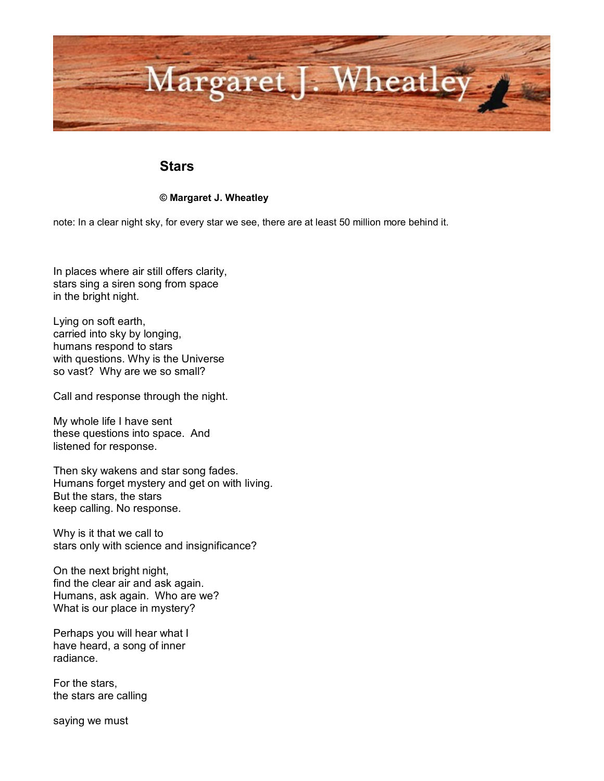

## **Stars**

## **© Margaret J. Wheatley**

note: In a clear night sky, for every star we see, there are at least 50 million more behind it.

In places where air still offers clarity, stars sing a siren song from space in the bright night.

Lying on soft earth, carried into sky by longing, humans respond to stars with questions. Why is the Universe so vast? Why are we so small?

Call and response through the night.

My whole life I have sent these questions into space. And listened for response.

Then sky wakens and star song fades. Humans forget mystery and get on with living. But the stars, the stars keep calling. No response.

Why is it that we call to stars only with science and insignificance?

On the next bright night, find the clear air and ask again. Humans, ask again. Who are we? What is our place in mystery?

Perhaps you will hear what I have heard, a song of inner radiance.

For the stars, the stars are calling

saying we must